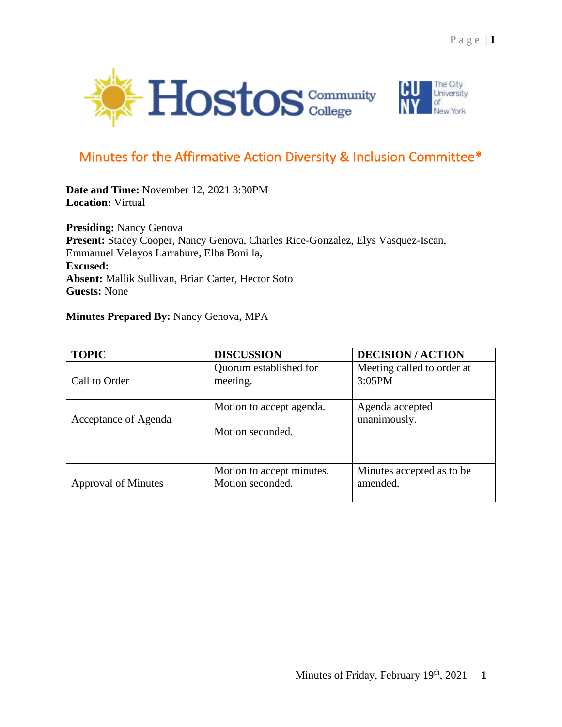



## Minutes for the Affirmative Action Diversity & Inclusion Committee\*

**Date and Time:** November 12, 2021 3:30PM **Location:** Virtual

**Presiding:** Nancy Genova **Present:** Stacey Cooper, Nancy Genova, Charles Rice-Gonzalez, Elys Vasquez-Iscan, Emmanuel Velayos Larrabure, Elba Bonilla, **Excused: Absent:** Mallik Sullivan, Brian Carter, Hector Soto **Guests:** None

## **Minutes Prepared By:** Nancy Genova, MPA

| <b>TOPIC</b>               | <b>DISCUSSION</b>                             | <b>DECISION/ACTION</b>                 |
|----------------------------|-----------------------------------------------|----------------------------------------|
| Call to Order              | Quorum established for<br>meeting.            | Meeting called to order at<br>3:05PM   |
| Acceptance of Agenda       | Motion to accept agenda.<br>Motion seconded.  | Agenda accepted<br>unanimously.        |
| <b>Approval of Minutes</b> | Motion to accept minutes.<br>Motion seconded. | Minutes accepted as to be.<br>amended. |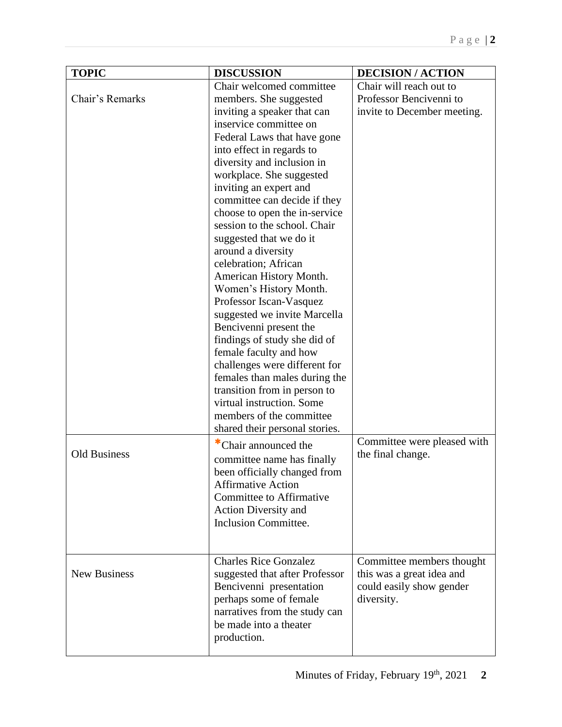| <b>TOPIC</b>        | <b>DISCUSSION</b>              | <b>DECISION/ACTION</b>      |
|---------------------|--------------------------------|-----------------------------|
|                     | Chair welcomed committee       | Chair will reach out to     |
| Chair's Remarks     | members. She suggested         | Professor Bencivenni to     |
|                     | inviting a speaker that can    | invite to December meeting. |
|                     | inservice committee on         |                             |
|                     | Federal Laws that have gone    |                             |
|                     | into effect in regards to      |                             |
|                     | diversity and inclusion in     |                             |
|                     | workplace. She suggested       |                             |
|                     | inviting an expert and         |                             |
|                     | committee can decide if they   |                             |
|                     | choose to open the in-service  |                             |
|                     | session to the school. Chair   |                             |
|                     | suggested that we do it        |                             |
|                     | around a diversity             |                             |
|                     | celebration; African           |                             |
|                     | American History Month.        |                             |
|                     | Women's History Month.         |                             |
|                     | Professor Iscan-Vasquez        |                             |
|                     | suggested we invite Marcella   |                             |
|                     | Bencivenni present the         |                             |
|                     | findings of study she did of   |                             |
|                     | female faculty and how         |                             |
|                     | challenges were different for  |                             |
|                     | females than males during the  |                             |
|                     | transition from in person to   |                             |
|                     | virtual instruction. Some      |                             |
|                     | members of the committee       |                             |
|                     | shared their personal stories. |                             |
|                     | *Chair announced the           | Committee were pleased with |
| <b>Old Business</b> | committee name has finally     | the final change.           |
|                     | been officially changed from   |                             |
|                     | <b>Affirmative Action</b>      |                             |
|                     | Committee to Affirmative       |                             |
|                     | <b>Action Diversity and</b>    |                             |
|                     | <b>Inclusion Committee.</b>    |                             |
|                     |                                |                             |
|                     |                                |                             |
|                     | <b>Charles Rice Gonzalez</b>   | Committee members thought   |
| <b>New Business</b> | suggested that after Professor | this was a great idea and   |
|                     | Bencivenni presentation        | could easily show gender    |
|                     | perhaps some of female         | diversity.                  |
|                     | narratives from the study can  |                             |
|                     | be made into a theater         |                             |
|                     | production.                    |                             |
|                     |                                |                             |